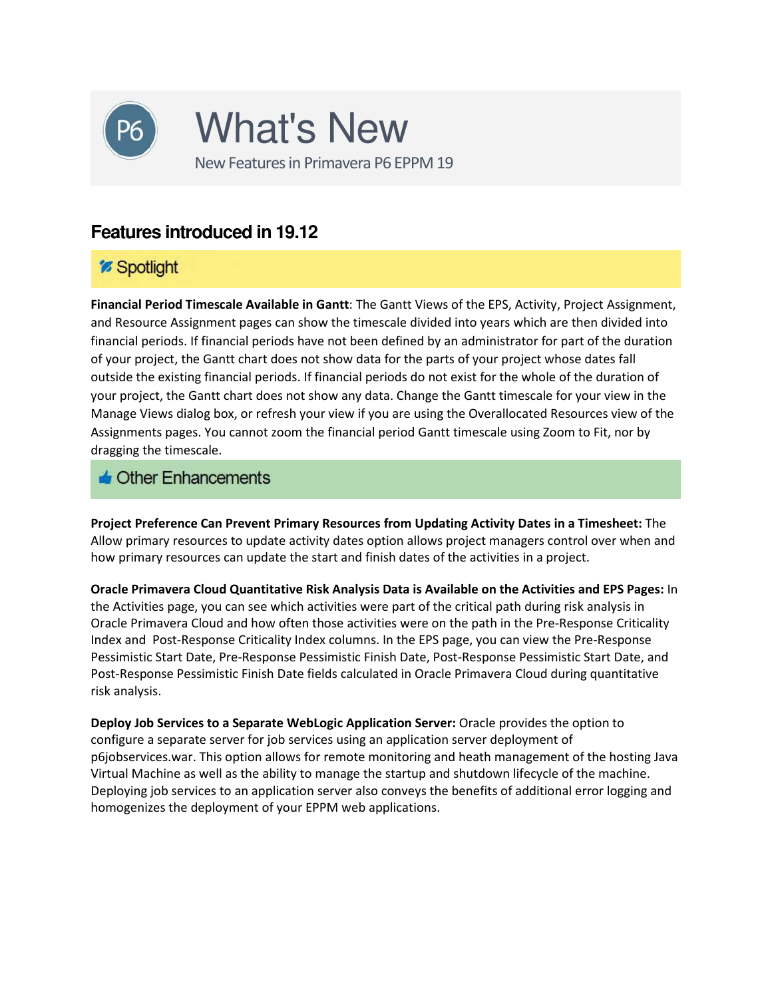

### *Spotlight*

**Financial Period Timescale Available in Gantt**: The Gantt Views of the EPS, Activity, Project Assignment, and Resource Assignment pages can show the timescale divided into years which are then divided into financial periods. If financial periods have not been defined by an administrator for part of the duration of your project, the Gantt chart does not show data for the parts of your project whose dates fall outside the existing financial periods. If financial periods do not exist for the whole of the duration of your project, the Gantt chart does not show any data. Change the Gantt timescale for your view in the Manage Views dialog box, or refresh your view if you are using the Overallocated Resources view of the Assignments pages. You cannot zoom the financial period Gantt timescale using Zoom to Fit, nor by dragging the timescale.

#### $\triangle$  Other Enhancements

**Project Preference Can Prevent Primary Resources from Updating Activity Dates in a Timesheet:** The Allow primary resources to update activity dates option allows project managers control over when and how primary resources can update the start and finish dates of the activities in a project.

**Oracle Primavera Cloud Quantitative Risk Analysis Data is Available on the Activities and EPS Pages:** In the Activities page, you can see which activities were part of the critical path during risk analysis in Oracle Primavera Cloud and how often those activities were on the path in the Pre-Response Criticality Index and Post-Response Criticality Index columns. In the EPS page, you can view the Pre-Response Pessimistic Start Date, Pre-Response Pessimistic Finish Date, Post-Response Pessimistic Start Date, and Post-Response Pessimistic Finish Date fields calculated in Oracle Primavera Cloud during quantitative risk analysis.

**Deploy Job Services to a Separate WebLogic Application Server:** Oracle provides the option to configure a separate server for job services using an application server deployment of p6jobservices.war. This option allows for remote monitoring and heath management of the hosting Java Virtual Machine as well as the ability to manage the startup and shutdown lifecycle of the machine. Deploying job services to an application server also conveys the benefits of additional error logging and homogenizes the deployment of your EPPM web applications.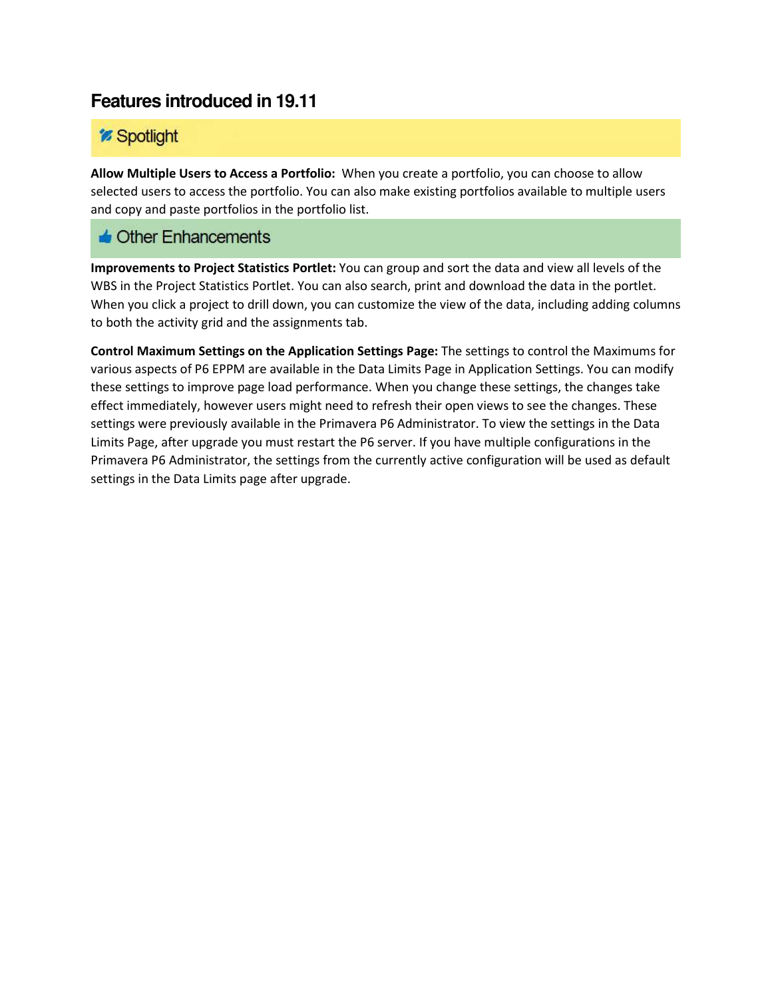## *<sup>m*</sup> Spotlight

**Allow Multiple Users to Access a Portfolio:** When you create a portfolio, you can choose to allow selected users to access the portfolio. You can also make existing portfolios available to multiple users and copy and paste portfolios in the portfolio list.

### $\triangle$  Other Enhancements

**Improvements to Project Statistics Portlet:** You can group and sort the data and view all levels of the WBS in the Project Statistics Portlet. You can also search, print and download the data in the portlet. When you click a project to drill down, you can customize the view of the data, including adding columns to both the activity grid and the assignments tab.

**Control Maximum Settings on the Application Settings Page:** The settings to control the Maximums for various aspects of P6 EPPM are available in the Data Limits Page in Application Settings. You can modify these settings to improve page load performance. When you change these settings, the changes take effect immediately, however users might need to refresh their open views to see the changes. These settings were previously available in the Primavera P6 Administrator. To view the settings in the Data Limits Page, after upgrade you must restart the P6 server. If you have multiple configurations in the Primavera P6 Administrator, the settings from the currently active configuration will be used as default settings in the Data Limits page after upgrade.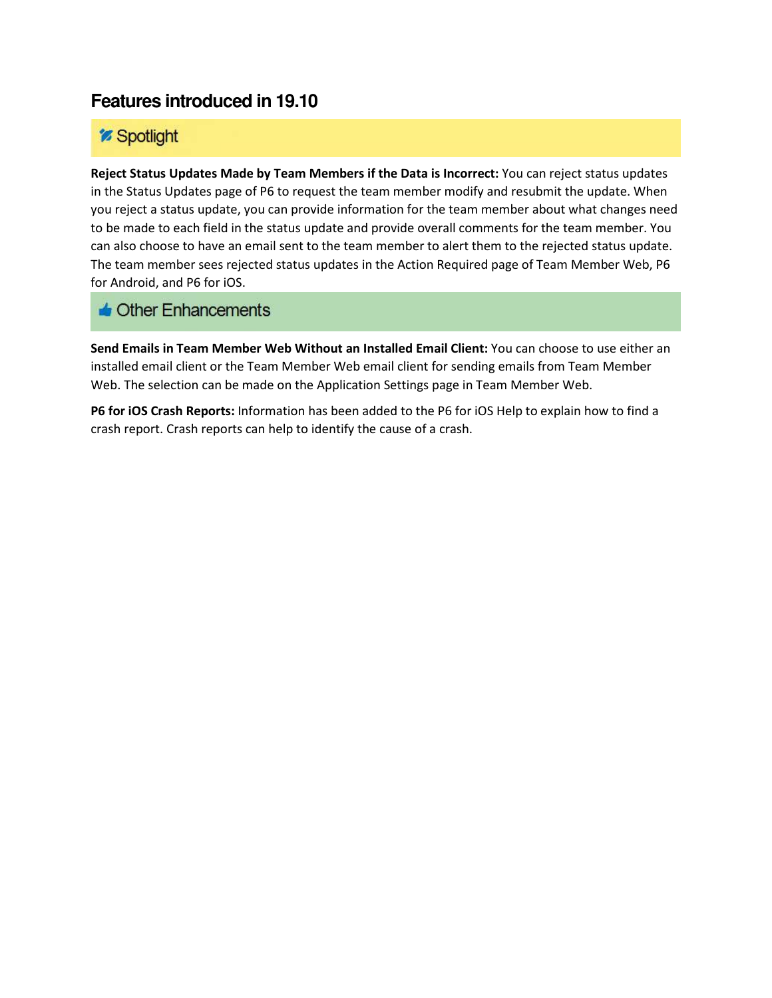### *<sup>2</sup> Spotlight*

**Reject Status Updates Made by Team Members if the Data is Incorrect:** You can reject status updates in the Status Updates page of P6 to request the team member modify and resubmit the update. When you reject a status update, you can provide information for the team member about what changes need to be made to each field in the status update and provide overall comments for the team member. You can also choose to have an email sent to the team member to alert them to the rejected status update. The team member sees rejected status updates in the Action Required page of Team Member Web, P6 for Android, and P6 for iOS.

### $\triangle$  Other Enhancements

**Send Emails in Team Member Web Without an Installed Email Client:** You can choose to use either an installed email client or the Team Member Web email client for sending emails from Team Member Web. The selection can be made on the Application Settings page in Team Member Web.

**P6 for iOS Crash Reports:** Information has been added to the P6 for iOS Help to explain how to find a crash report. Crash reports can help to identify the cause of a crash.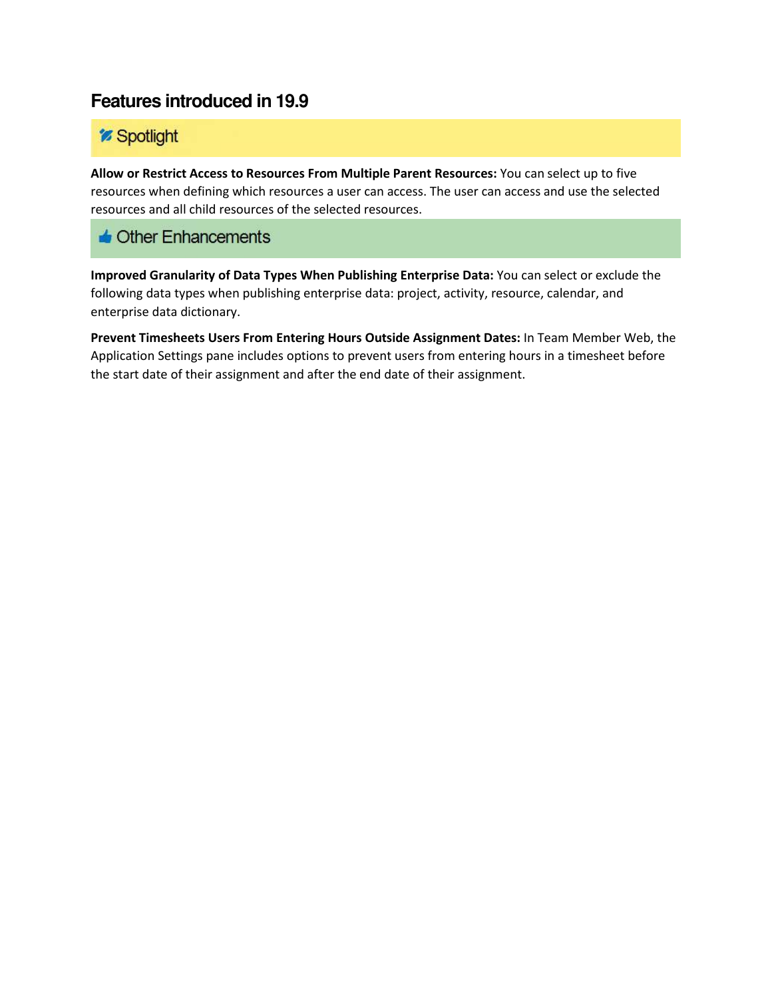# *<sup>z* Spotlight</sup>

**Allow or Restrict Access to Resources From Multiple Parent Resources:** You can select up to five resources when defining which resources a user can access. The user can access and use the selected resources and all child resources of the selected resources.

### $\triangle$  Other Enhancements

**Improved Granularity of Data Types When Publishing Enterprise Data:** You can select or exclude the following data types when publishing enterprise data: project, activity, resource, calendar, and enterprise data dictionary.

**Prevent Timesheets Users From Entering Hours Outside Assignment Dates:** In Team Member Web, the Application Settings pane includes options to prevent users from entering hours in a timesheet before the start date of their assignment and after the end date of their assignment.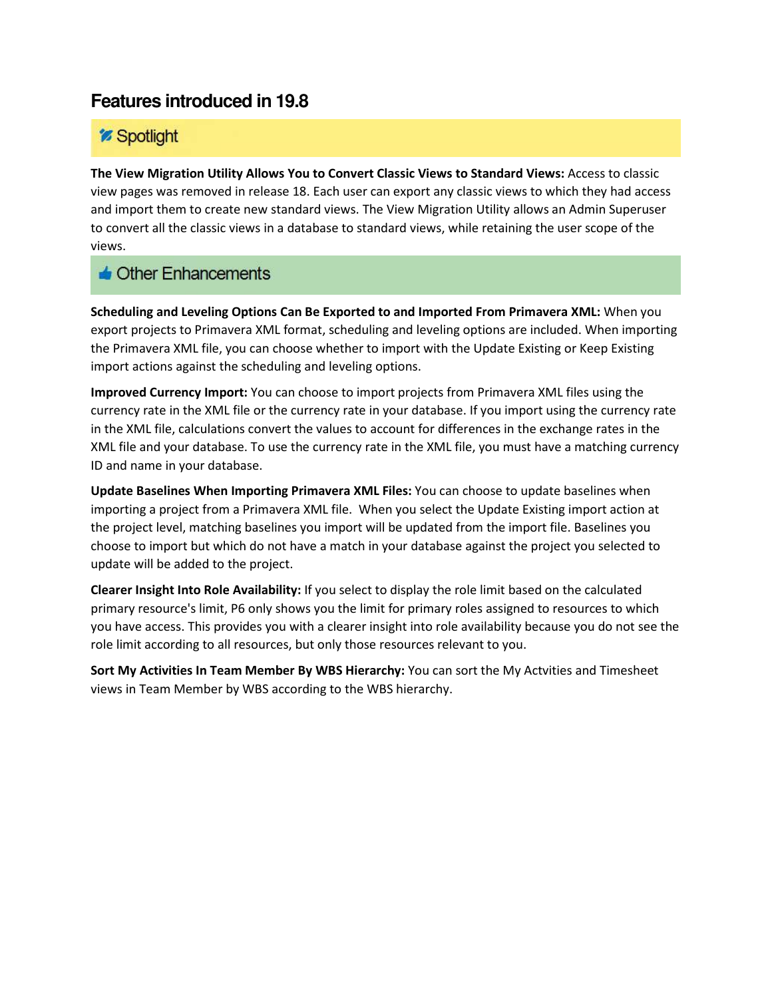## *Spotlight*

**The View Migration Utility Allows You to Convert Classic Views to Standard Views:** Access to classic view pages was removed in release 18. Each user can export any classic views to which they had access and import them to create new standard views. The View Migration Utility allows an Admin Superuser to convert all the classic views in a database to standard views, while retaining the user scope of the views.

#### $\triangle$  Other Enhancements

**Scheduling and Leveling Options Can Be Exported to and Imported From Primavera XML:** When you export projects to Primavera XML format, scheduling and leveling options are included. When importing the Primavera XML file, you can choose whether to import with the Update Existing or Keep Existing import actions against the scheduling and leveling options.

**Improved Currency Import:** You can choose to import projects from Primavera XML files using the currency rate in the XML file or the currency rate in your database. If you import using the currency rate in the XML file, calculations convert the values to account for differences in the exchange rates in the XML file and your database. To use the currency rate in the XML file, you must have a matching currency ID and name in your database.

**Update Baselines When Importing Primavera XML Files:** You can choose to update baselines when importing a project from a Primavera XML file. When you select the Update Existing import action at the project level, matching baselines you import will be updated from the import file. Baselines you choose to import but which do not have a match in your database against the project you selected to update will be added to the project.

**Clearer Insight Into Role Availability:** If you select to display the role limit based on the calculated primary resource's limit, P6 only shows you the limit for primary roles assigned to resources to which you have access. This provides you with a clearer insight into role availability because you do not see the role limit according to all resources, but only those resources relevant to you.

**Sort My Activities In Team Member By WBS Hierarchy:** You can sort the My Actvities and Timesheet views in Team Member by WBS according to the WBS hierarchy.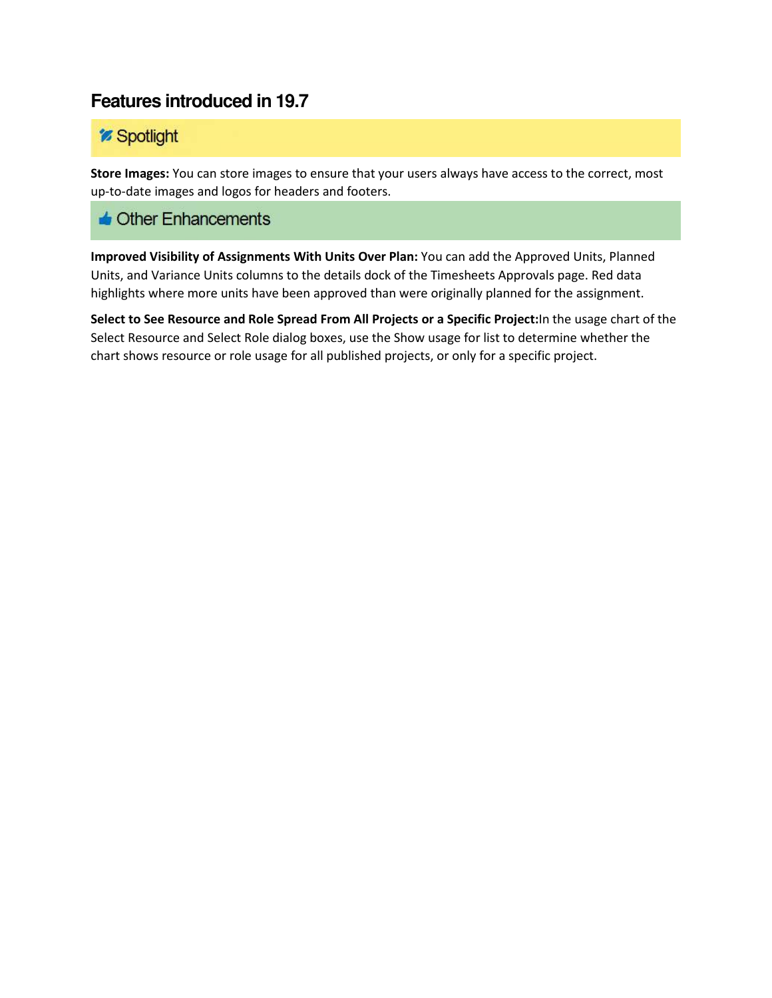### *<sup>z* Spotlight</sup>

**Store Images:** You can store images to ensure that your users always have access to the correct, most up-to-date images and logos for headers and footers.

### $\triangle$  Other Enhancements

**Improved Visibility of Assignments With Units Over Plan:** You can add the Approved Units, Planned Units, and Variance Units columns to the details dock of the Timesheets Approvals page. Red data highlights where more units have been approved than were originally planned for the assignment.

**Select to See Resource and Role Spread From All Projects or a Specific Project:**In the usage chart of the Select Resource and Select Role dialog boxes, use the Show usage for list to determine whether the chart shows resource or role usage for all published projects, or only for a specific project.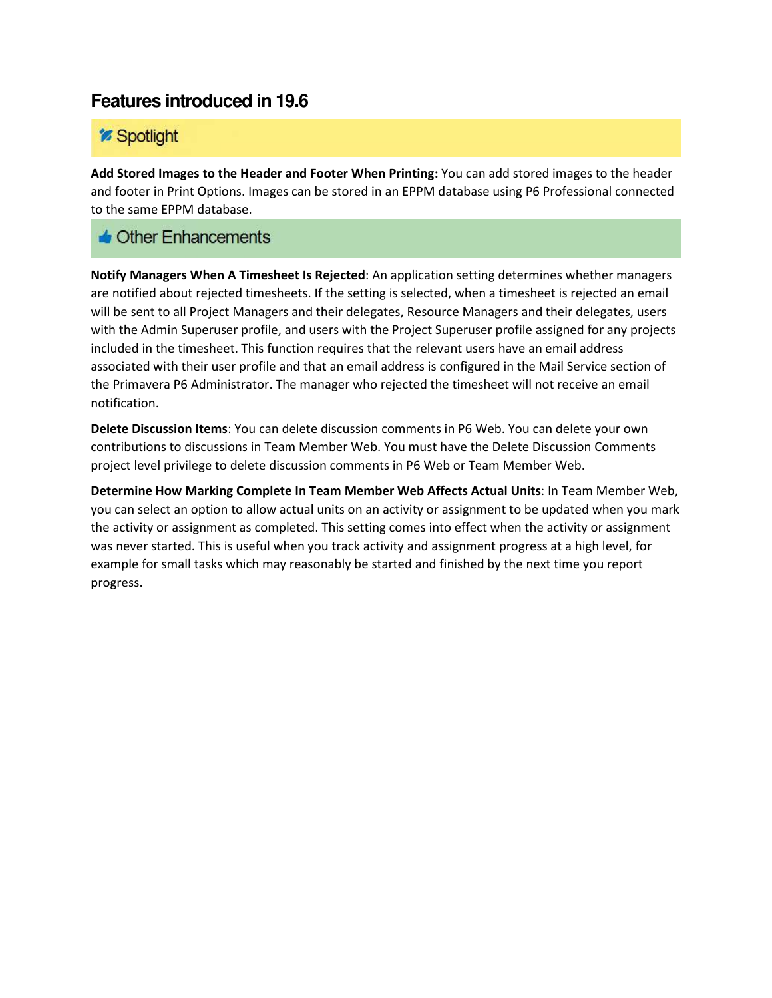### *Spotlight*

**Add Stored Images to the Header and Footer When Printing:** You can add stored images to the header and footer in Print Options. Images can be stored in an EPPM database using P6 Professional connected to the same EPPM database.

#### $\triangle$  Other Enhancements

**Notify Managers When A Timesheet Is Rejected**: An application setting determines whether managers are notified about rejected timesheets. If the setting is selected, when a timesheet is rejected an email will be sent to all Project Managers and their delegates, Resource Managers and their delegates, users with the Admin Superuser profile, and users with the Project Superuser profile assigned for any projects included in the timesheet. This function requires that the relevant users have an email address associated with their user profile and that an email address is configured in the Mail Service section of the Primavera P6 Administrator. The manager who rejected the timesheet will not receive an email notification.

**Delete Discussion Items**: You can delete discussion comments in P6 Web. You can delete your own contributions to discussions in Team Member Web. You must have the Delete Discussion Comments project level privilege to delete discussion comments in P6 Web or Team Member Web.

**Determine How Marking Complete In Team Member Web Affects Actual Units**: In Team Member Web, you can select an option to allow actual units on an activity or assignment to be updated when you mark the activity or assignment as completed. This setting comes into effect when the activity or assignment was never started. This is useful when you track activity and assignment progress at a high level, for example for small tasks which may reasonably be started and finished by the next time you report progress.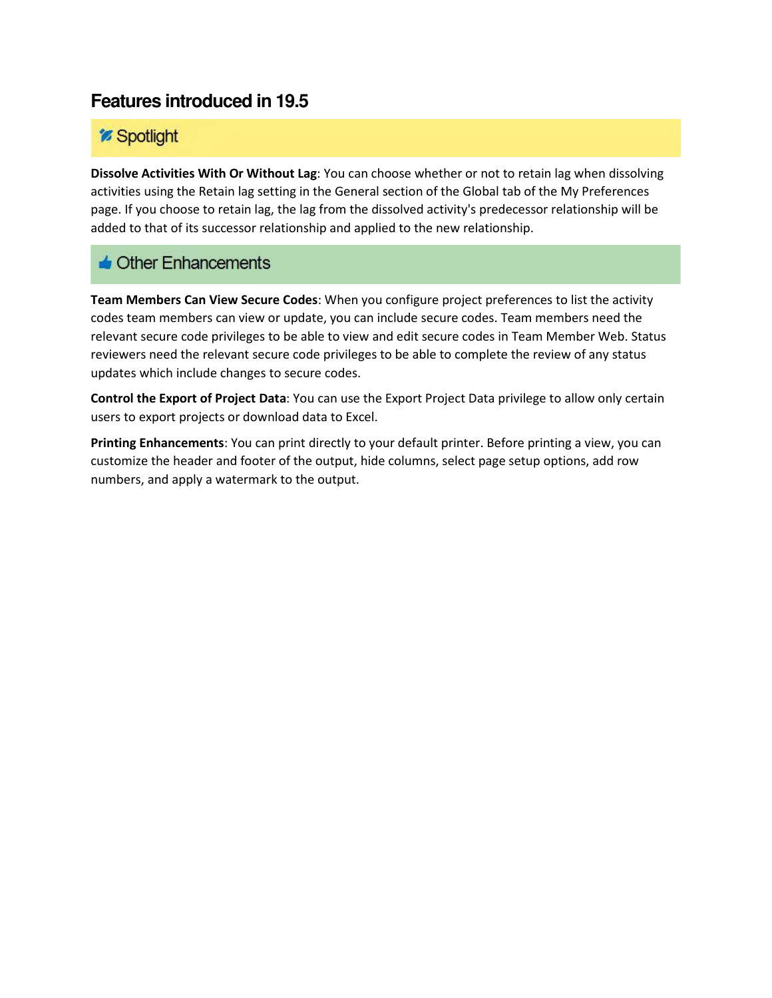## *<sup>2</sup> Spotlight*

**Dissolve Activities With Or Without Lag**: You can choose whether or not to retain lag when dissolving activities using the Retain lag setting in the General section of the Global tab of the My Preferences page. If you choose to retain lag, the lag from the dissolved activity's predecessor relationship will be added to that of its successor relationship and applied to the new relationship.

### $\triangle$  Other Enhancements

**Team Members Can View Secure Codes**: When you configure project preferences to list the activity codes team members can view or update, you can include secure codes. Team members need the relevant secure code privileges to be able to view and edit secure codes in Team Member Web. Status reviewers need the relevant secure code privileges to be able to complete the review of any status updates which include changes to secure codes.

**Control the Export of Project Data**: You can use the Export Project Data privilege to allow only certain users to export projects or download data to Excel.

**Printing Enhancements**: You can print directly to your default printer. Before printing a view, you can customize the header and footer of the output, hide columns, select page setup options, add row numbers, and apply a watermark to the output.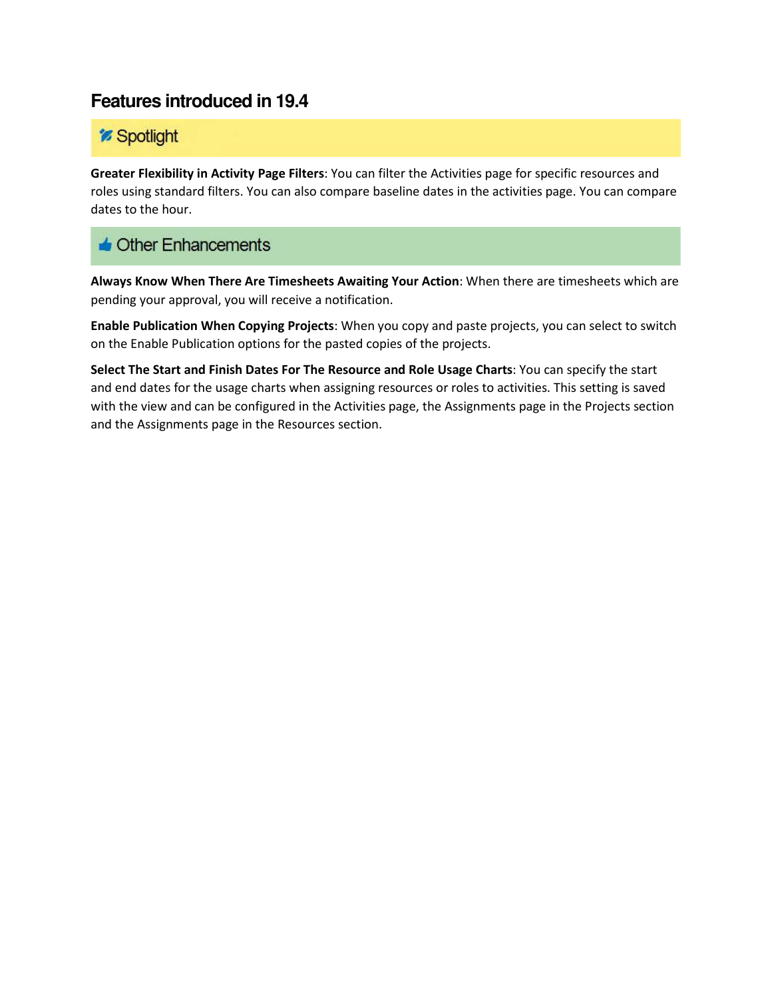## *<sup>2</sup> Spotlight*

**Greater Flexibility in Activity Page Filters**: You can filter the Activities page for specific resources and roles using standard filters. You can also compare baseline dates in the activities page. You can compare dates to the hour.

### $\triangle$  Other Enhancements

**Always Know When There Are Timesheets Awaiting Your Action**: When there are timesheets which are pending your approval, you will receive a notification.

**Enable Publication When Copying Projects**: When you copy and paste projects, you can select to switch on the Enable Publication options for the pasted copies of the projects.

**Select The Start and Finish Dates For The Resource and Role Usage Charts**: You can specify the start and end dates for the usage charts when assigning resources or roles to activities. This setting is saved with the view and can be configured in the Activities page, the Assignments page in the Projects section and the Assignments page in the Resources section.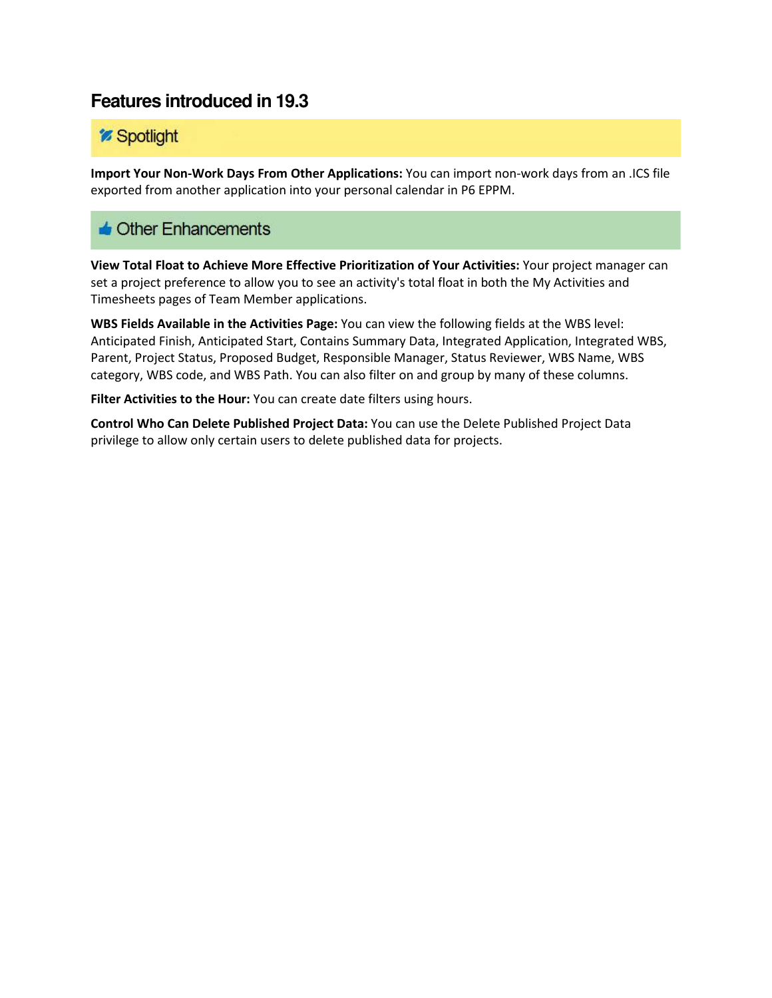## *<sup>2</sup> Spotlight*

**Import Your Non-Work Days From Other Applications:** You can import non-work days from an .ICS file exported from another application into your personal calendar in P6 EPPM.

### **C** Other Enhancements

**View Total Float to Achieve More Effective Prioritization of Your Activities:** Your project manager can set a project preference to allow you to see an activity's total float in both the My Activities and Timesheets pages of Team Member applications.

**WBS Fields Available in the Activities Page:** You can view the following fields at the WBS level: Anticipated Finish, Anticipated Start, Contains Summary Data, Integrated Application, Integrated WBS, Parent, Project Status, Proposed Budget, Responsible Manager, Status Reviewer, WBS Name, WBS category, WBS code, and WBS Path. You can also filter on and group by many of these columns.

**Filter Activities to the Hour:** You can create date filters using hours.

**Control Who Can Delete Published Project Data:** You can use the Delete Published Project Data privilege to allow only certain users to delete published data for projects.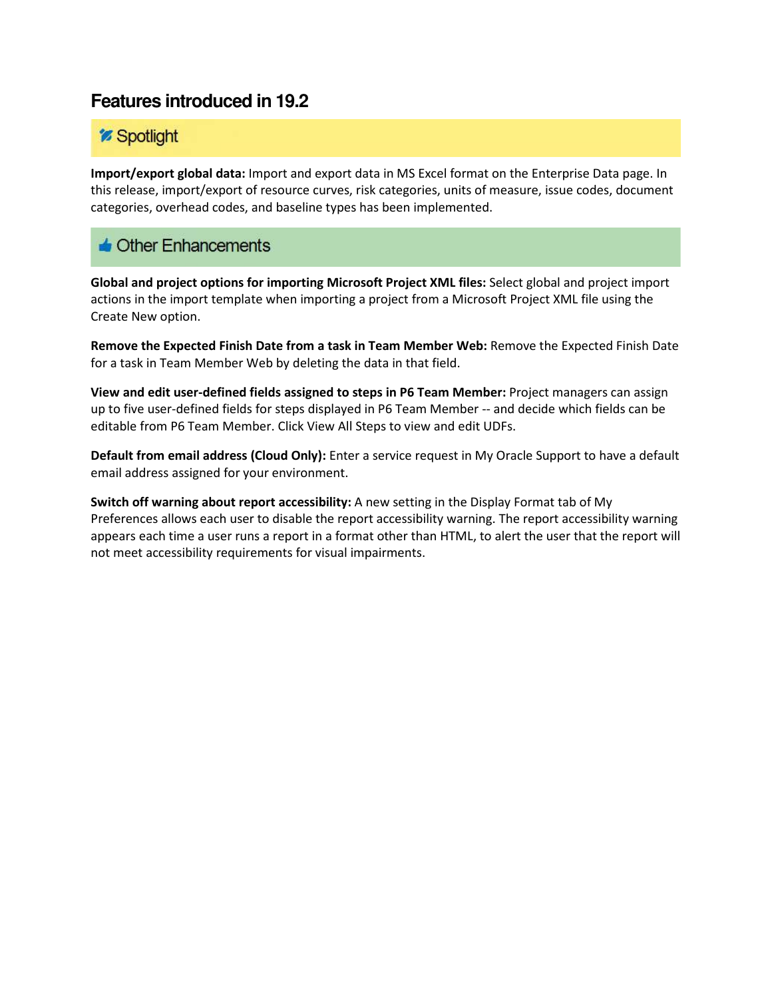## *<sup>m*</sup> Spotlight

**Import/export global data:** Import and export data in MS Excel format on the Enterprise Data page. In this release, import/export of resource curves, risk categories, units of measure, issue codes, document categories, overhead codes, and baseline types has been implemented.

## $\triangle$  Other Enhancements

**Global and project options for importing Microsoft Project XML files:** Select global and project import actions in the import template when importing a project from a Microsoft Project XML file using the Create New option.

**Remove the Expected Finish Date from a task in Team Member Web:** Remove the Expected Finish Date for a task in Team Member Web by deleting the data in that field.

**View and edit user-defined fields assigned to steps in P6 Team Member:** Project managers can assign up to five user-defined fields for steps displayed in P6 Team Member -- and decide which fields can be editable from P6 Team Member. Click View All Steps to view and edit UDFs.

**Default from email address (Cloud Only):** Enter a service request in My Oracle Support to have a default email address assigned for your environment.

**Switch off warning about report accessibility:** A new setting in the Display Format tab of My Preferences allows each user to disable the report accessibility warning. The report accessibility warning appears each time a user runs a report in a format other than HTML, to alert the user that the report will not meet accessibility requirements for visual impairments.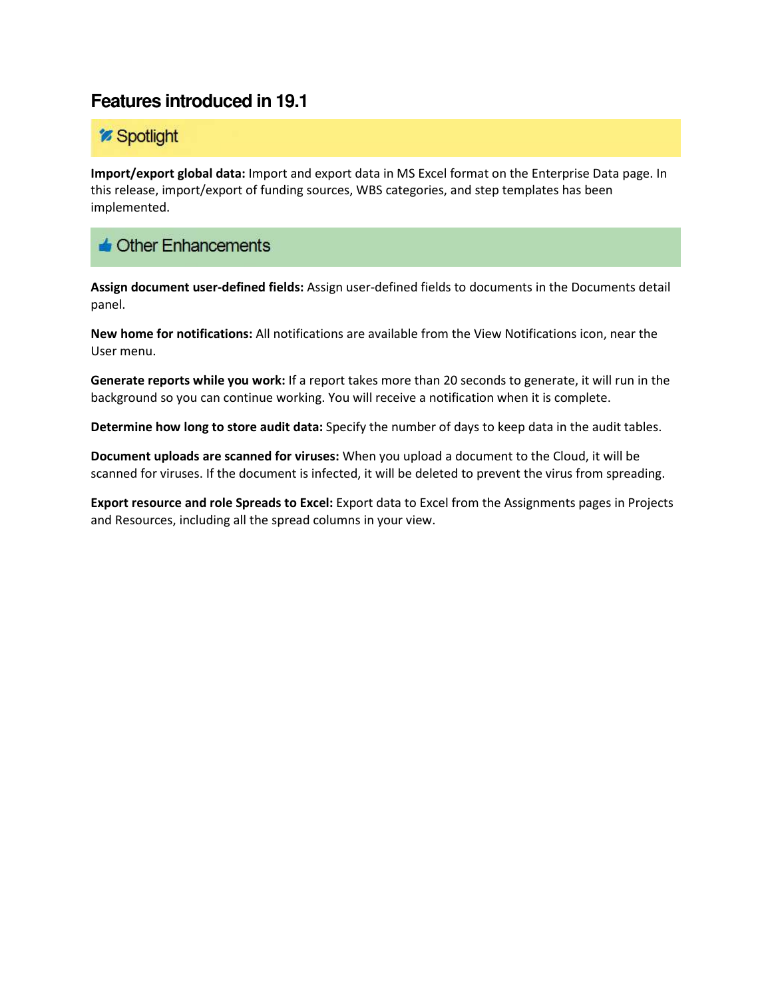## *<sup>2</sup> Spotlight*

**Import/export global data:** Import and export data in MS Excel format on the Enterprise Data page. In this release, import/export of funding sources, WBS categories, and step templates has been implemented.

### **J** Other Enhancements

**Assign document user-defined fields:** Assign user-defined fields to documents in the Documents detail panel.

**New home for notifications:** All notifications are available from the View Notifications icon, near the User menu.

**Generate reports while you work:** If a report takes more than 20 seconds to generate, it will run in the background so you can continue working. You will receive a notification when it is complete.

**Determine how long to store audit data:** Specify the number of days to keep data in the audit tables.

**Document uploads are scanned for viruses:** When you upload a document to the Cloud, it will be scanned for viruses. If the document is infected, it will be deleted to prevent the virus from spreading.

**Export resource and role Spreads to Excel:** Export data to Excel from the Assignments pages in Projects and Resources, including all the spread columns in your view.